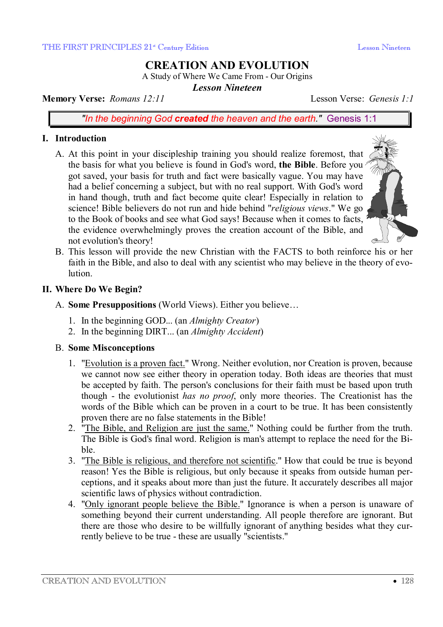# **CREATION AND EVOLUTION**

A Study of Where We Came From - Our Origins

*Lesson Nineteen* 

## **Memory Verse:** *Romans 12:11* Lesson Verse: *Genesis 1:1*

*"In the beginning God created the heaven and the earth."* Genesis 1:1

## **I. Introduction**

- A. At this point in your discipleship training you should realize foremost, that the basis for what you believe is found in God's word, **the Bible**. Before you got saved, your basis for truth and fact were basically vague. You may have had a belief concerning a subject, but with no real support. With God's word in hand though, truth and fact become quite clear! Especially in relation to science! Bible believers do not run and hide behind "*religious views*." We go to the Book of books and see what God says! Because when it comes to facts, the evidence overwhelmingly proves the creation account of the Bible, and not evolution's theory!
- B. This lesson will provide the new Christian with the FACTS to both reinforce his or her faith in the Bible, and also to deal with any scientist who may believe in the theory of evolution.

## **II. Where Do We Begin?**

- A. **Some Presuppositions** (World Views). Either you believe…
	- 1. In the beginning GOD... (an *Almighty Creator*)
	- 2. In the beginning DIRT... (an *Almighty Accident*)

## B. **Some Misconceptions**

- 1. "Evolution is a proven fact." Wrong. Neither evolution, nor Creation is proven, because we cannot now see either theory in operation today. Both ideas are theories that must be accepted by faith. The person's conclusions for their faith must be based upon truth though - the evolutionist *has no proof*, only more theories. The Creationist has the words of the Bible which can be proven in a court to be true. It has been consistently proven there are no false statements in the Bible!
- 2. "The Bible, and Religion are just the same." Nothing could be further from the truth. The Bible is God's final word. Religion is man's attempt to replace the need for the Bible.
- 3. "The Bible is religious, and therefore not scientific." How that could be true is beyond reason! Yes the Bible is religious, but only because it speaks from outside human perceptions, and it speaks about more than just the future. It accurately describes all major scientific laws of physics without contradiction.
- 4. "Only ignorant people believe the Bible." Ignorance is when a person is unaware of something beyond their current understanding. All people therefore are ignorant. But there are those who desire to be willfully ignorant of anything besides what they currently believe to be true - these are usually "scientists."

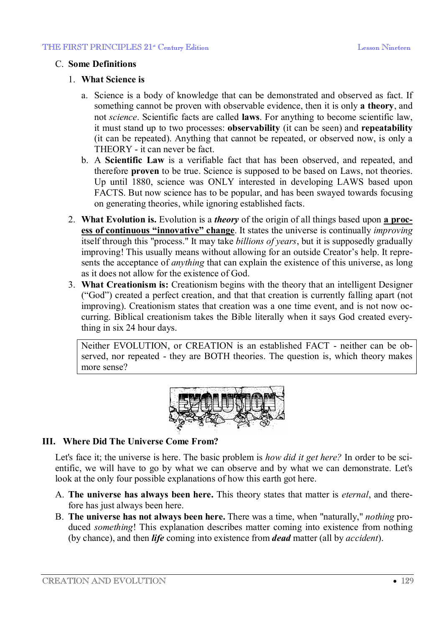## C. **Some Definitions**

#### 1. **What Science is**

- a. Science is a body of knowledge that can be demonstrated and observed as fact. If something cannot be proven with observable evidence, then it is only **a theory**, and not *science*. Scientific facts are called **laws**. For anything to become scientific law, it must stand up to two processes: **observability** (it can be seen) and **repeatability** (it can be repeated). Anything that cannot be repeated, or observed now, is only a THEORY - it can never be fact.
- b. A **Scientific Law** is a verifiable fact that has been observed, and repeated, and therefore **proven** to be true. Science is supposed to be based on Laws, not theories. Up until 1880, science was ONLY interested in developing LAWS based upon FACTS. But now science has to be popular, and has been swayed towards focusing on generating theories, while ignoring established facts.
- 2. **What Evolution is.** Evolution is a *theory* of the origin of all things based upon **a process of continuous "innovative" change**. It states the universe is continually *improving* itself through this "process." It may take *billions of years*, but it is supposedly gradually improving! This usually means without allowing for an outside Creator's help. It represents the acceptance of *anything* that can explain the existence of this universe, as long as it does not allow for the existence of God.
- 3. **What Creationism is:** Creationism begins with the theory that an intelligent Designer ("God") created a perfect creation, and that that creation is currently falling apart (not improving). Creationism states that creation was a one time event, and is not now occurring. Biblical creationism takes the Bible literally when it says God created everything in six 24 hour days.

Neither EVOLUTION, or CREATION is an established FACT - neither can be observed, nor repeated - they are BOTH theories. The question is, which theory makes more sense?



## **III. Where Did The Universe Come From?**

Let's face it; the universe is here. The basic problem is *how did it get here?* In order to be scientific, we will have to go by what we can observe and by what we can demonstrate. Let's look at the only four possible explanations of how this earth got here.

- A. **The universe has always been here.** This theory states that matter is *eternal*, and therefore has just always been here.
- B. **The universe has not always been here.** There was a time, when "naturally," *nothing* produced *something*! This explanation describes matter coming into existence from nothing (by chance), and then *life* coming into existence from *dead* matter (all by *accident*).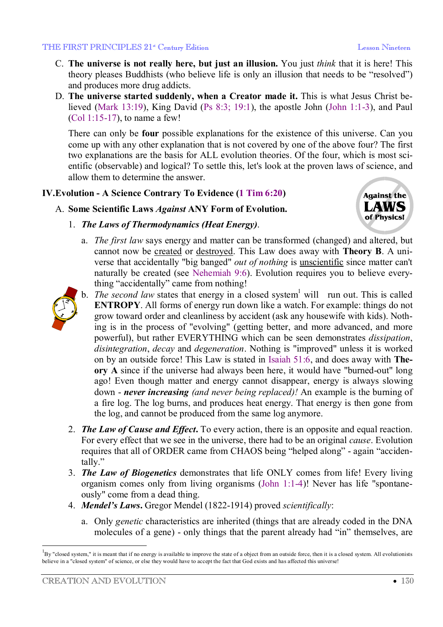#### THE FIRST PRINCIPLES 21<sup>st</sup> Century Edition Lesson Nineteen

- C. **The universe is not really here, but just an illusion.** You just *think* that it is here! This theory pleases Buddhists (who believe life is only an illusion that needs to be "resolved") and produces more drug addicts.
- D. **The universe started suddenly, when a Creator made it.** This is what Jesus Christ believed (Mark 13:19), King David (Ps 8:3; 19:1), the apostle John (John 1:1-3), and Paul (Col 1:15-17), to name a few!

There can only be **four** possible explanations for the existence of this universe. Can you come up with any other explanation that is not covered by one of the above four? The first two explanations are the basis for ALL evolution theories. Of the four, which is most scientific (observable) and logical? To settle this, let's look at the proven laws of science, and allow them to determine the answer.

## **IV.Evolution - A Science Contrary To Evidence (1 Tim 6:20)**

## A. **Some Scientific Laws** *Against* **ANY Form of Evolution.**



- 1. *The Laws of Thermodynamics (Heat Energy)*.
	- a. *The first law* says energy and matter can be transformed (changed) and altered, but cannot now be created or destroyed. This Law does away with **Theory B**. A universe that accidentally "big banged" *out of nothing* is unscientific since matter can't naturally be created (see Nehemiah 9:6). Evolution requires you to believe everything "accidentally" came from nothing!



- b. *The second law* states that energy in a closed system<sup>1</sup> will run out. This is called **ENTROPY**. All forms of energy run down like a watch. For example: things do not grow toward order and cleanliness by accident (ask any housewife with kids). Nothing is in the process of "evolving" (getting better, and more advanced, and more powerful), but rather EVERYTHING which can be seen demonstrates *dissipation*, *disintegration*, *decay* and *degeneration*. Nothing is "improved" unless it is worked on by an outside force! This Law is stated in Isaiah 51:6, and does away with **Theory A** since if the universe had always been here, it would have "burned-out" long ago! Even though matter and energy cannot disappear, energy is always slowing down - *never increasing (and never being replaced)!* An example is the burning of a fire log. The log burns, and produces heat energy. That energy is then gone from the log, and cannot be produced from the same log anymore.
- 2. *The Law of Cause and Effect***.** To every action, there is an opposite and equal reaction. For every effect that we see in the universe, there had to be an original *cause*. Evolution requires that all of ORDER came from CHAOS being "helped along" - again "accidentally."
- 3. *The Law of Biogenetics* demonstrates that life ONLY comes from life! Every living organism comes only from living organisms (John 1:1-4)! Never has life "spontaneously" come from a dead thing.
- 4. *Mendel's Laws***.** Gregor Mendel (1822-1914) proved *scientifically*:
	- a. Only *genetic* characteristics are inherited (things that are already coded in the DNA molecules of a gene) - only things that the parent already had "in" themselves, are

 $\overline{a}$ 

 ${}^{1}_{1}$ By "closed system," it is meant that if no energy is available to improve the state of a object from an outside force, then it is a closed system. All evolutionists believe in a "closed system" of science, or else they would have to accept the fact that God exists and has affected this universe!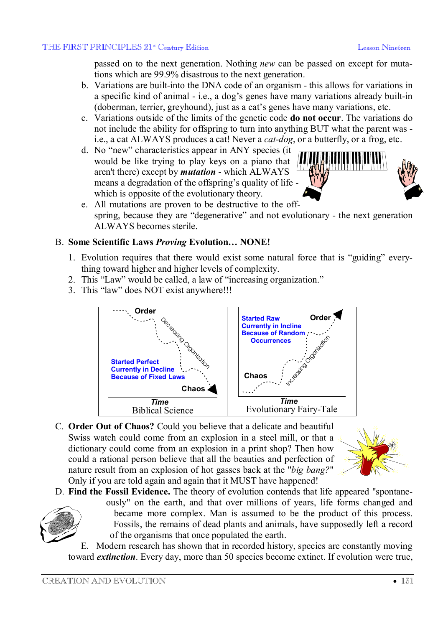passed on to the next generation. Nothing *new* can be passed on except for mutations which are 99.9% disastrous to the next generation.

- b. Variations are built-into the DNA code of an organism this allows for variations in a specific kind of animal - i.e., a dog's genes have many variations already built-in (doberman, terrier, greyhound), just as a cat's genes have many variations, etc.
- c. Variations outside of the limits of the genetic code **do not occur**. The variations do not include the ability for offspring to turn into anything BUT what the parent was i.e., a cat ALWAYS produces a cat! Never a *cat-dog*, or a butterfly, or a frog, etc.
- d. No "new" characteristics appear in ANY species (it would be like trying to play keys on a piano that aren't there) except by *mutation* - which ALWAYS means a degradation of the offspring's quality of life which is opposite of the evolutionary theory.



e. All mutations are proven to be destructive to the offspring, because they are "degenerative" and not evolutionary - the next generation ALWAYS becomes sterile.

## B. **Some Scientific Laws** *Proving* **Evolution… NONE!**

- 1. Evolution requires that there would exist some natural force that is "guiding" everything toward higher and higher levels of complexity.
- 2. This "Law" would be called, a law of "increasing organization."
- 3. This "law" does NOT exist anywhere!!!



C. **Order Out of Chaos?** Could you believe that a delicate and beautiful Swiss watch could come from an explosion in a steel mill, or that a dictionary could come from an explosion in a print shop? Then how could a rational person believe that all the beauties and perfection of nature result from an explosion of hot gasses back at the "*big bang?*" Only if you are told again and again that it MUST have happened!



D. **Find the Fossil Evidence.** The theory of evolution contends that life appeared "spontane-



ously" on the earth, and that over millions of years, life forms changed and became more complex. Man is assumed to be the product of this process. Fossils, the remains of dead plants and animals, have supposedly left a record of the organisms that once populated the earth.

E. Modern research has shown that in recorded history, species are constantly moving toward *extinction*. Every day, more than 50 species become extinct. If evolution were true,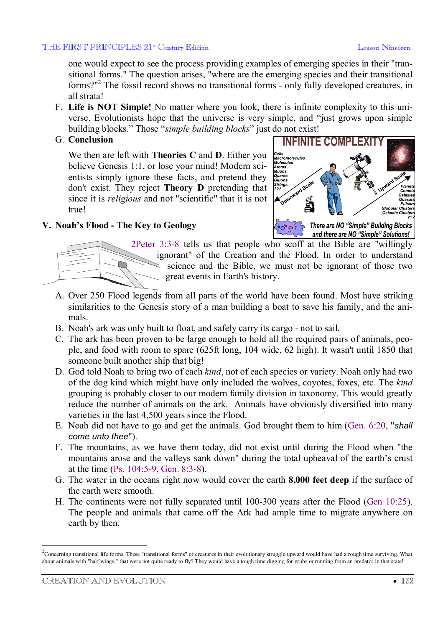one would expect to see the process providing examples of emerging species in their "transitional forms." The question arises, "where are the emerging species and their transitional forms?"<sup>2</sup> The fossil record shows no transitional forms - only fully developed creatures, in all strata!

- F. **Life is NOT Simple!** No matter where you look, there is infinite complexity to this universe. Evolutionists hope that the universe is very simple, and "just grows upon simple building blocks." Those "*simple building blocks*" just do not exist!
- G. **Conclusion**

We then are left with **Theories C** and **D**. Either you believe Genesis 1:1, or lose your mind! Modern scientists simply ignore these facts, and pretend they don't exist. They reject **Theory D** pretending that since it is *religious* and not "scientific" that it is not true!



# **V. Noah's Flood - The Key to Geology**



2Peter 3:3-8 tells us that people who scoff at the Bible are "willingly" ignorant" of the Creation and the Flood. In order to understand science and the Bible, we must not be ignorant of those two great events in Earth's history.

- A. Over 250 Flood legends from all parts of the world have been found. Most have striking similarities to the Genesis story of a man building a boat to save his family, and the animals.
- B. Noah's ark was only built to float, and safely carry its cargo not to sail.
- C. The ark has been proven to be large enough to hold all the required pairs of animals, people, and food with room to spare (625ft long, 104 wide, 62 high). It wasn't until 1850 that someone built another ship that big!
- D. God told Noah to bring two of each *kind*, not of each species or variety. Noah only had two of the dog kind which might have only included the wolves, coyotes, foxes, etc. The *kind* grouping is probably closer to our modern family division in taxonomy. This would greatly reduce the number of animals on the ark. Animals have obviously diversified into many varieties in the last 4,500 years since the Flood.
- E. Noah did not have to go and get the animals. God brought them to him (Gen. 6:20, "*shall come unto thee*").
- F. The mountains, as we have them today, did not exist until during the Flood when "the mountains arose and the valleys sank down" during the total upheaval of the earth's crust at the time (Ps. 104:5-9, Gen. 8:3-8).
- G. The water in the oceans right now would cover the earth **8,000 feet deep** if the surface of the earth were smooth.
- H. The continents were not fully separated until 100-300 years after the Flood (Gen 10:25). The people and animals that came off the Ark had ample time to migrate anywhere on earth by then.

 $\overline{a}$ 

 $2$ Concerning transitional life forms. These "transitional forms" of creatures in their evolutionary struggle upward would have had a rough time surviving. What about animals with "half wings," that were not quite ready to fly? They would have a tough time digging for grubs or running from an predator in that state!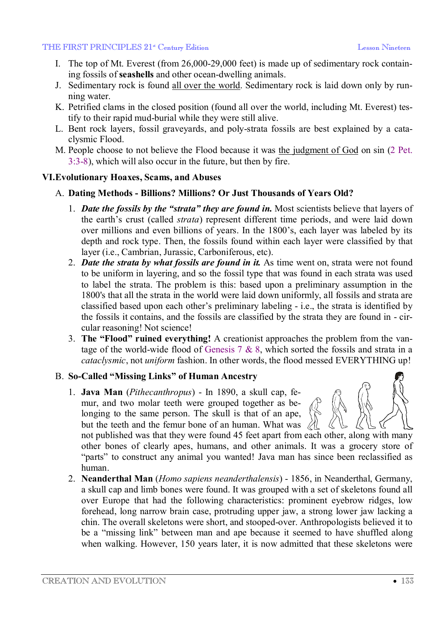- I. The top of Mt. Everest (from 26,000-29,000 feet) is made up of sedimentary rock containing fossils of **seashells** and other ocean-dwelling animals.
- J. Sedimentary rock is found all over the world. Sedimentary rock is laid down only by running water.
- K. Petrified clams in the closed position (found all over the world, including Mt. Everest) testify to their rapid mud-burial while they were still alive.
- L. Bent rock layers, fossil graveyards, and poly-strata fossils are best explained by a cataclysmic Flood.
- M. People choose to not believe the Flood because it was the judgment of God on sin (2 Pet. 3:3-8), which will also occur in the future, but then by fire.

## **VI.Evolutionary Hoaxes, Scams, and Abuses**

## A. **Dating Methods - Billions? Millions? Or Just Thousands of Years Old?**

- 1. *Date the fossils by the "strata" they are found in.* Most scientists believe that layers of the earth's crust (called *strata*) represent different time periods, and were laid down over millions and even billions of years. In the 1800's, each layer was labeled by its depth and rock type. Then, the fossils found within each layer were classified by that layer (i.e., Cambrian, Jurassic, Carboniferous, etc).
- 2. *Date the strata by what fossils are found in it.* As time went on, strata were not found to be uniform in layering, and so the fossil type that was found in each strata was used to label the strata. The problem is this: based upon a preliminary assumption in the 1800's that all the strata in the world were laid down uniformly, all fossils and strata are classified based upon each other's preliminary labeling - i.e., the strata is identified by the fossils it contains, and the fossils are classified by the strata they are found in - circular reasoning! Not science!
- 3. **The "Flood" ruined everything!** A creationist approaches the problem from the vantage of the world-wide flood of Genesis 7 & 8, which sorted the fossils and strata in a *cataclysmic*, not *uniform* fashion. In other words, the flood messed EVERYTHING up!

## B. **So-Called "Missing Links" of Human Ancestry**

1. **Java Man** (*Pithecanthropus*) - In 1890, a skull cap, femur, and two molar teeth were grouped together as belonging to the same person. The skull is that of an ape, but the teeth and the femur bone of an human. What was

not published was that they were found 45 feet apart from each other, along with many other bones of clearly apes, humans, and other animals. It was a grocery store of "parts" to construct any animal you wanted! Java man has since been reclassified as human.

2. **Neanderthal Man** (*Homo sapiens neanderthalensis*) - 1856, in Neanderthal, Germany, a skull cap and limb bones were found. It was grouped with a set of skeletons found all over Europe that had the following characteristics: prominent eyebrow ridges, low forehead, long narrow brain case, protruding upper jaw, a strong lower jaw lacking a chin. The overall skeletons were short, and stooped-over. Anthropologists believed it to be a "missing link" between man and ape because it seemed to have shuffled along when walking. However, 150 years later, it is now admitted that these skeletons were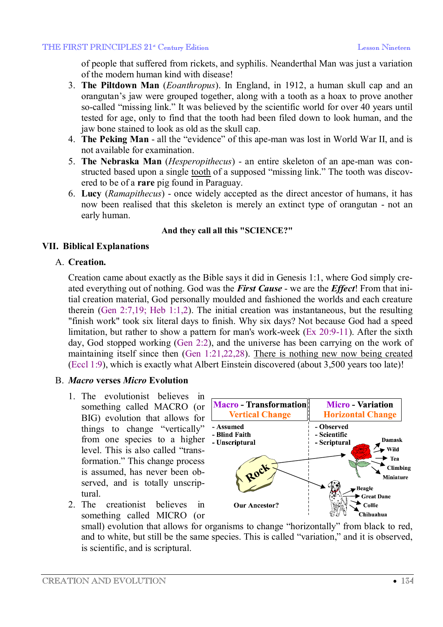of people that suffered from rickets, and syphilis. Neanderthal Man was just a variation of the modern human kind with disease!

- 3. **The Piltdown Man** (*Eoanthropus*). In England, in 1912, a human skull cap and an orangutan's jaw were grouped together, along with a tooth as a hoax to prove another so-called "missing link." It was believed by the scientific world for over 40 years until tested for age, only to find that the tooth had been filed down to look human, and the jaw bone stained to look as old as the skull cap.
- 4. **The Peking Man** all the "evidence" of this ape-man was lost in World War II, and is not available for examination.
- 5. **The Nebraska Man** (*Hesperopithecus*) an entire skeleton of an ape-man was constructed based upon a single tooth of a supposed "missing link." The tooth was discovered to be of a **rare** pig found in Paraguay.
- 6. **Lucy** (*Ramapithecus*) once widely accepted as the direct ancestor of humans, it has now been realised that this skeleton is merely an extinct type of orangutan - not an early human.

## **And they call all this "SCIENCE?"**

# **VII. Biblical Explanations**

## A. **Creation.**

Creation came about exactly as the Bible says it did in Genesis 1:1, where God simply created everything out of nothing. God was the *First Cause* - we are the *Effect*! From that initial creation material, God personally moulded and fashioned the worlds and each creature therein (Gen 2:7,19; Heb 1:1,2). The initial creation was instantaneous, but the resulting "finish work" took six literal days to finish. Why six days? Not because God had a speed limitation, but rather to show a pattern for man's work-week (Ex 20:9-11). After the sixth day, God stopped working (Gen 2:2), and the universe has been carrying on the work of maintaining itself since then (Gen 1:21,22,28). There is nothing new now being created (Eccl 1:9), which is exactly what Albert Einstein discovered (about 3,500 years too late)!

## B. *Macro* **verses** *Micro* **Evolution**

- 1. The evolutionist believes in something called MACRO (or BIG) evolution that allows for things to change "vertically" from one species to a higher level. This is also called "transformation." This change process is assumed, has never been observed, and is totally unscriptural.
- 2. The creationist believes in something called MICRO (or



small) evolution that allows for organisms to change "horizontally" from black to red, and to white, but still be the same species. This is called "variation," and it is observed, is scientific, and is scriptural.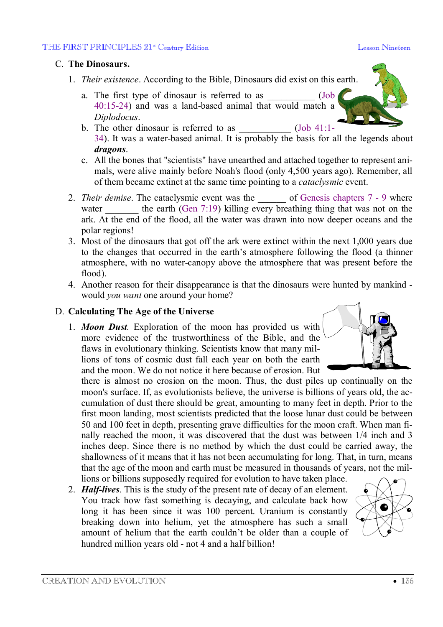# C. **The Dinosaurs.**

- 1. *Their existence*. According to the Bible, Dinosaurs did exist on this earth.
	- a. The first type of dinosaur is referred to as  $(Job$ 40:15-24) and was a land-based animal that would match a *Diplodocus*.
	- b. The other dinosaur is referred to as  $(Job\ 41:1-$ 34). It was a water-based animal. It is probably the basis for all the legends about *dragons*.
	- c. All the bones that "scientists" have unearthed and attached together to represent animals, were alive mainly before Noah's flood (only 4,500 years ago). Remember, all of them became extinct at the same time pointing to a *cataclysmic* event.
- 2. *Their demise*. The cataclysmic event was the \_\_\_\_\_\_ of Genesis chapters 7 9 where water the earth (Gen  $7:19$ ) killing every breathing thing that was not on the ark. At the end of the flood, all the water was drawn into now deeper oceans and the polar regions!
- 3. Most of the dinosaurs that got off the ark were extinct within the next 1,000 years due to the changes that occurred in the earth's atmosphere following the flood (a thinner atmosphere, with no water-canopy above the atmosphere that was present before the flood).
- 4. Another reason for their disappearance is that the dinosaurs were hunted by mankind would *you want* one around your home?

# D. **Calculating The Age of the Universe**

1. *Moon Dust.* Exploration of the moon has provided us with more evidence of the trustworthiness of the Bible, and the flaws in evolutionary thinking. Scientists know that many millions of tons of cosmic dust fall each year on both the earth and the moon. We do not notice it here because of erosion. But

there is almost no erosion on the moon. Thus, the dust piles up continually on the moon's surface. If, as evolutionists believe, the universe is billions of years old, the accumulation of dust there should be great, amounting to many feet in depth. Prior to the first moon landing, most scientists predicted that the loose lunar dust could be between 50 and 100 feet in depth, presenting grave difficulties for the moon craft. When man finally reached the moon, it was discovered that the dust was between 1/4 inch and 3 inches deep. Since there is no method by which the dust could be carried away, the shallowness of it means that it has not been accumulating for long. That, in turn, means that the age of the moon and earth must be measured in thousands of years, not the millions or billions supposedly required for evolution to have taken place.

2. *Half-lives*. This is the study of the present rate of decay of an element. You track how fast something is decaying, and calculate back how long it has been since it was 100 percent. Uranium is constantly breaking down into helium, yet the atmosphere has such a small amount of helium that the earth couldn't be older than a couple of hundred million years old - not 4 and a half billion!



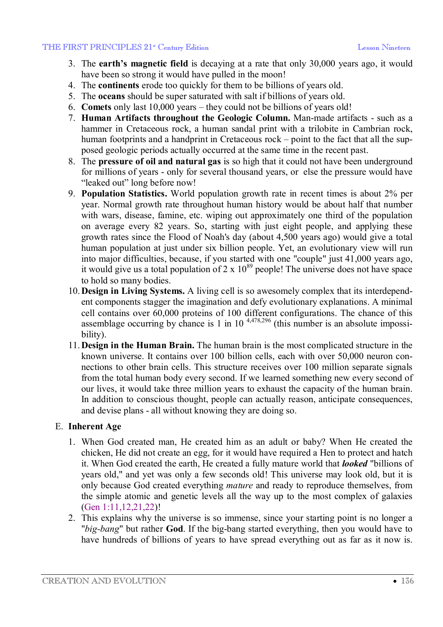- 3. The **earth's magnetic field** is decaying at a rate that only 30,000 years ago, it would have been so strong it would have pulled in the moon!
- 4. The **continents** erode too quickly for them to be billions of years old.
- 5. The **oceans** should be super saturated with salt if billions of years old.
- 6. **Comets** only last 10,000 years they could not be billions of years old!
- 7. **Human Artifacts throughout the Geologic Column.** Man-made artifacts such as a hammer in Cretaceous rock, a human sandal print with a trilobite in Cambrian rock, human footprints and a handprint in Cretaceous rock – point to the fact that all the supposed geologic periods actually occurred at the same time in the recent past.
- 8. The **pressure of oil and natural gas** is so high that it could not have been underground for millions of years - only for several thousand years, or else the pressure would have "leaked out" long before now!
- 9. **Population Statistics.** World population growth rate in recent times is about 2% per year. Normal growth rate throughout human history would be about half that number with wars, disease, famine, etc. wiping out approximately one third of the population on average every 82 years. So, starting with just eight people, and applying these growth rates since the Flood of Noah's day (about 4,500 years ago) would give a total human population at just under six billion people. Yet, an evolutionary view will run into major difficulties, because, if you started with one "couple" just 41,000 years ago, it would give us a total population of  $2 \times 10^{89}$  people! The universe does not have space to hold so many bodies.
- 10.**Design in Living Systems.** A living cell is so awesomely complex that its interdependent components stagger the imagination and defy evolutionary explanations. A minimal cell contains over 60,000 proteins of 100 different configurations. The chance of this assemblage occurring by chance is 1 in 10<sup>4,478,296</sup> (this number is an absolute impossibility).
- 11.**Design in the Human Brain.** The human brain is the most complicated structure in the known universe. It contains over 100 billion cells, each with over 50,000 neuron connections to other brain cells. This structure receives over 100 million separate signals from the total human body every second. If we learned something new every second of our lives, it would take three million years to exhaust the capacity of the human brain. In addition to conscious thought, people can actually reason, anticipate consequences, and devise plans - all without knowing they are doing so.

## E. **Inherent Age**

- 1. When God created man, He created him as an adult or baby? When He created the chicken, He did not create an egg, for it would have required a Hen to protect and hatch it. When God created the earth, He created a fully mature world that *looked* "billions of years old," and yet was only a few seconds old! This universe may look old, but it is only because God created everything *mature* and ready to reproduce themselves, from the simple atomic and genetic levels all the way up to the most complex of galaxies (Gen 1:11,12,21,22)!
- 2. This explains why the universe is so immense, since your starting point is no longer a "*big-bang*" but rather **God**. If the big-bang started everything, then you would have to have hundreds of billions of years to have spread everything out as far as it now is.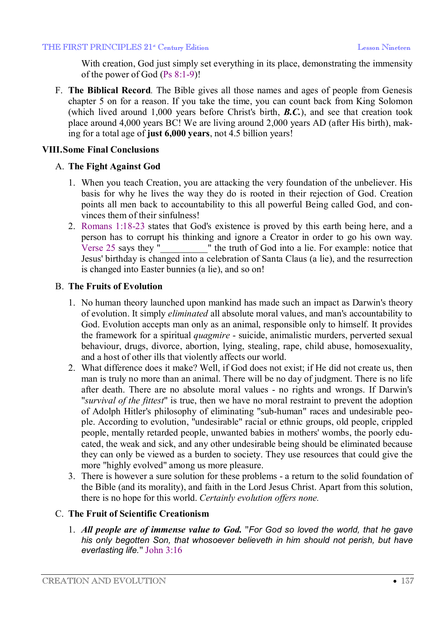With creation, God just simply set everything in its place, demonstrating the immensity of the power of God (Ps 8:1-9)!

F. **The Biblical Record***.* The Bible gives all those names and ages of people from Genesis chapter 5 on for a reason. If you take the time, you can count back from King Solomon (which lived around 1,000 years before Christ's birth, *B.C.*), and see that creation took place around 4,000 years BC! We are living around 2,000 years AD (after His birth), making for a total age of **just 6,000 years**, not 4.5 billion years!

## **VIII.Some Final Conclusions**

## A. **The Fight Against God**

- 1. When you teach Creation, you are attacking the very foundation of the unbeliever. His basis for why he lives the way they do is rooted in their rejection of God. Creation points all men back to accountability to this all powerful Being called God, and convinces them of their sinfulness!
- 2. Romans 1:18-23 states that God's existence is proved by this earth being here, and a person has to corrupt his thinking and ignore a Creator in order to go his own way. Verse 25 says they "*\_\_\_\_\_\_\_\_\_\_*" the truth of God into a lie. For example: notice that Jesus' birthday is changed into a celebration of Santa Claus (a lie), and the resurrection is changed into Easter bunnies (a lie), and so on!

## B. **The Fruits of Evolution**

- 1. No human theory launched upon mankind has made such an impact as Darwin's theory of evolution. It simply *eliminated* all absolute moral values, and man's accountability to God. Evolution accepts man only as an animal, responsible only to himself. It provides the framework for a spiritual *quagmire* - suicide, animalistic murders, perverted sexual behaviour, drugs, divorce, abortion, lying, stealing, rape, child abuse, homosexuality, and a host of other ills that violently affects our world.
- 2. What difference does it make? Well, if God does not exist; if He did not create us, then man is truly no more than an animal. There will be no day of judgment. There is no life after death. There are no absolute moral values - no rights and wrongs. If Darwin's "*survival of the fittest*" is true, then we have no moral restraint to prevent the adoption of Adolph Hitler's philosophy of eliminating "sub-human" races and undesirable people. According to evolution, "undesirable" racial or ethnic groups, old people, crippled people, mentally retarded people, unwanted babies in mothers' wombs, the poorly educated, the weak and sick, and any other undesirable being should be eliminated because they can only be viewed as a burden to society. They use resources that could give the more "highly evolved" among us more pleasure.
- 3. There is however a sure solution for these problems a return to the solid foundation of the Bible (and its morality), and faith in the Lord Jesus Christ. Apart from this solution, there is no hope for this world. *Certainly evolution offers none.*

## C. **The Fruit of Scientific Creationism**

1. *All people are of immense value to God.* "*For God so loved the world, that he gave his only begotten Son, that whosoever believeth in him should not perish, but have everlasting life.*" John 3:16